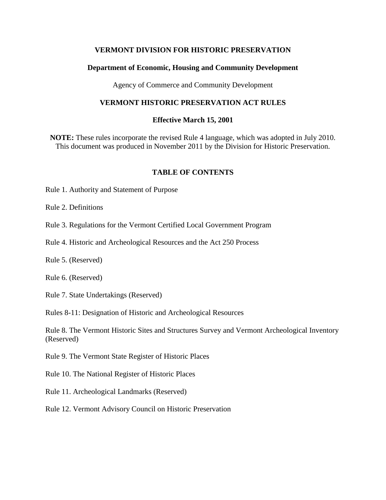#### **VERMONT DIVISION FOR HISTORIC PRESERVATION**

#### **Department of Economic, Housing and Community Development**

Agency of Commerce and Community Development

#### **VERMONT HISTORIC PRESERVATION ACT RULES**

#### **Effective March 15, 2001**

**NOTE:** These rules incorporate the revised Rule 4 language, which was adopted in July 2010. This document was produced in November 2011 by the Division for Historic Preservation.

#### **TABLE OF CONTENTS**

Rule 1. Authority and Statement of Purpose

Rule 2. Definitions

Rule 3. Regulations for the Vermont Certified Local Government Program

Rule 4. Historic and Archeological Resources and the Act 250 Process

Rule 5. (Reserved)

Rule 6. (Reserved)

Rule 7. State Undertakings (Reserved)

Rules 8-11: Designation of Historic and Archeological Resources

Rule 8. The Vermont Historic Sites and Structures Survey and Vermont Archeological Inventory (Reserved)

Rule 9. The Vermont State Register of Historic Places

Rule 10. The National Register of Historic Places

Rule 11. Archeological Landmarks (Reserved)

Rule 12. Vermont Advisory Council on Historic Preservation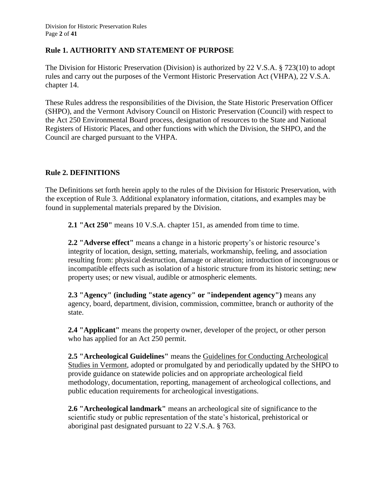#### **Rule 1. AUTHORITY AND STATEMENT OF PURPOSE**

The Division for Historic Preservation (Division) is authorized by 22 V.S.A. § 723(10) to adopt rules and carry out the purposes of the Vermont Historic Preservation Act (VHPA), 22 V.S.A. chapter 14.

These Rules address the responsibilities of the Division, the State Historic Preservation Officer (SHPO), and the Vermont Advisory Council on Historic Preservation (Council) with respect to the Act 250 Environmental Board process, designation of resources to the State and National Registers of Historic Places, and other functions with which the Division, the SHPO, and the Council are charged pursuant to the VHPA.

#### **Rule 2. DEFINITIONS**

The Definitions set forth herein apply to the rules of the Division for Historic Preservation, with the exception of Rule 3. Additional explanatory information, citations, and examples may be found in supplemental materials prepared by the Division.

**2.1 "Act 250"** means 10 V.S.A. chapter 151, as amended from time to time.

**2.2 "Adverse effect"** means a change in a historic property's or historic resource's integrity of location, design, setting, materials, workmanship, feeling, and association resulting from: physical destruction, damage or alteration; introduction of incongruous or incompatible effects such as isolation of a historic structure from its historic setting; new property uses; or new visual, audible or atmospheric elements.

**2.3 "Agency" (including "state agency" or "independent agency")** means any agency, board, department, division, commission, committee, branch or authority of the state.

**2.4 "Applicant"** means the property owner, developer of the project, or other person who has applied for an Act 250 permit.

**2.5 "Archeological Guidelines"** means the Guidelines for Conducting Archeological Studies in Vermont, adopted or promulgated by and periodically updated by the SHPO to provide guidance on statewide policies and on appropriate archeological field methodology, documentation, reporting, management of archeological collections, and public education requirements for archeological investigations.

**2.6 "Archeological landmark"** means an archeological site of significance to the scientific study or public representation of the state's historical, prehistorical or aboriginal past designated pursuant to 22 V.S.A. § 763.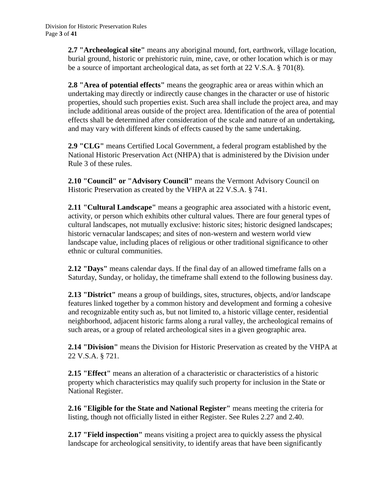**2.7 "Archeological site"** means any aboriginal mound, fort, earthwork, village location, burial ground, historic or prehistoric ruin, mine, cave, or other location which is or may be a source of important archeological data, as set forth at 22 V.S.A. § 701(8)*.*

**2.8 "Area of potential effects"** means the geographic area or areas within which an undertaking may directly or indirectly cause changes in the character or use of historic properties, should such properties exist. Such area shall include the project area, and may include additional areas outside of the project area. Identification of the area of potential effects shall be determined after consideration of the scale and nature of an undertaking, and may vary with different kinds of effects caused by the same undertaking.

**2.9 "CLG"** means Certified Local Government, a federal program established by the National Historic Preservation Act (NHPA) that is administered by the Division under Rule 3 of these rules.

**2.10 "Council" or "Advisory Council"** means the Vermont Advisory Council on Historic Preservation as created by the VHPA at 22 V.S.A. § 741.

**2.11 "Cultural Landscape"** means a geographic area associated with a historic event, activity, or person which exhibits other cultural values. There are four general types of cultural landscapes, not mutually exclusive: historic sites; historic designed landscapes; historic vernacular landscapes; and sites of non-western and western world view landscape value, including places of religious or other traditional significance to other ethnic or cultural communities.

**2.12 "Days"** means calendar days. If the final day of an allowed timeframe falls on a Saturday, Sunday, or holiday, the timeframe shall extend to the following business day.

**2.13 "District"** means a group of buildings, sites, structures, objects, and/or landscape features linked together by a common history and development and forming a cohesive and recognizable entity such as, but not limited to, a historic village center, residential neighborhood, adjacent historic farms along a rural valley, the archeological remains of such areas, or a group of related archeological sites in a given geographic area.

**2.14 "Division"** means the Division for Historic Preservation as created by the VHPA at 22 V.S.A. § 721.

**2.15 "Effect"** means an alteration of a characteristic or characteristics of a historic property which characteristics may qualify such property for inclusion in the State or National Register.

**2.16 "Eligible for the State and National Register"** means meeting the criteria for listing, though not officially listed in either Register. See Rules 2.27 and 2.40.

**2.17 "Field inspection"** means visiting a project area to quickly assess the physical landscape for archeological sensitivity, to identify areas that have been significantly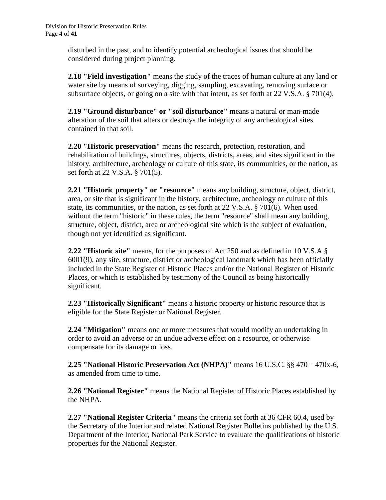disturbed in the past, and to identify potential archeological issues that should be considered during project planning.

**2.18 "Field investigation"** means the study of the traces of human culture at any land or water site by means of surveying, digging, sampling, excavating, removing surface or subsurface objects, or going on a site with that intent, as set forth at 22 V.S.A. § 701(4).

**2.19 "Ground disturbance" or "soil disturbance"** means a natural or man-made alteration of the soil that alters or destroys the integrity of any archeological sites contained in that soil.

**2.20 "Historic preservation"** means the research, protection, restoration, and rehabilitation of buildings, structures, objects, districts, areas, and sites significant in the history, architecture, archeology or culture of this state, its communities, or the nation, as set forth at 22 V.S.A. § 701(5).

**2.21 "Historic property" or "resource"** means any building, structure, object, district, area, or site that is significant in the history, architecture, archeology or culture of this state, its communities, or the nation, as set forth at 22 V.S.A. § 701(6). When used without the term "historic" in these rules, the term "resource" shall mean any building, structure, object, district, area or archeological site which is the subject of evaluation, though not yet identified as significant.

**2.22 "Historic site"** means, for the purposes of Act 250 and as defined in 10 V.S.A § 6001(9), any site, structure, district or archeological landmark which has been officially included in the State Register of Historic Places and/or the National Register of Historic Places, or which is established by testimony of the Council as being historically significant.

**2.23 "Historically Significant"** means a historic property or historic resource that is eligible for the State Register or National Register.

**2.24 "Mitigation"** means one or more measures that would modify an undertaking in order to avoid an adverse or an undue adverse effect on a resource, or otherwise compensate for its damage or loss.

**2.25 "National Historic Preservation Act (NHPA)"** means 16 U.S.C. §§ 470 – 470x-6, as amended from time to time.

**2.26 "National Register"** means the National Register of Historic Places established by the NHPA.

**2.27 "National Register Criteria"** means the criteria set forth at 36 CFR 60.4, used by the Secretary of the Interior and related National Register Bulletins published by the U.S. Department of the Interior, National Park Service to evaluate the qualifications of historic properties for the National Register.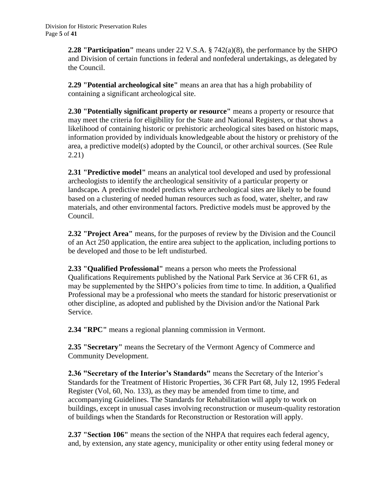**2.28 "Participation"** means under 22 V.S.A. § 742(a)(8), the performance by the SHPO and Division of certain functions in federal and nonfederal undertakings, as delegated by the Council.

**2.29 "Potential archeological site"** means an area that has a high probability of containing a significant archeological site.

**2.30 "Potentially significant property or resource"** means a property or resource that may meet the criteria for eligibility for the State and National Registers, or that shows a likelihood of containing historic or prehistoric archeological sites based on historic maps, information provided by individuals knowledgeable about the history or prehistory of the area, a predictive model(s) adopted by the Council, or other archival sources. (See Rule 2.21)

**2.31 "Predictive model"** means an analytical tool developed and used by professional archeologists to identify the archeological sensitivity of a particular property or landscape*.* A predictive model predicts where archeological sites are likely to be found based on a clustering of needed human resources such as food, water, shelter, and raw materials, and other environmental factors. Predictive models must be approved by the Council.

**2.32 "Project Area"** means, for the purposes of review by the Division and the Council of an Act 250 application, the entire area subject to the application, including portions to be developed and those to be left undisturbed.

**2.33 "Qualified Professional"** means a person who meets the Professional Qualifications Requirements published by the National Park Service at 36 CFR 61, as may be supplemented by the SHPO's policies from time to time. In addition, a Qualified Professional may be a professional who meets the standard for historic preservationist or other discipline, as adopted and published by the Division and/or the National Park Service.

**2.34 "RPC"** means a regional planning commission in Vermont.

**2.35 "Secretary"** means the Secretary of the Vermont Agency of Commerce and Community Development.

**2.36 "Secretary of the Interior's Standards"** means the Secretary of the Interior's Standards for the Treatment of Historic Properties, 36 CFR Part 68, July 12, 1995 Federal Register (Vol, 60, No. 133), as they may be amended from time to time, and accompanying Guidelines. The Standards for Rehabilitation will apply to work on buildings, except in unusual cases involving reconstruction or museum-quality restoration of buildings when the Standards for Reconstruction or Restoration will apply.

**2.37 "Section 106"** means the section of the NHPA that requires each federal agency, and, by extension, any state agency, municipality or other entity using federal money or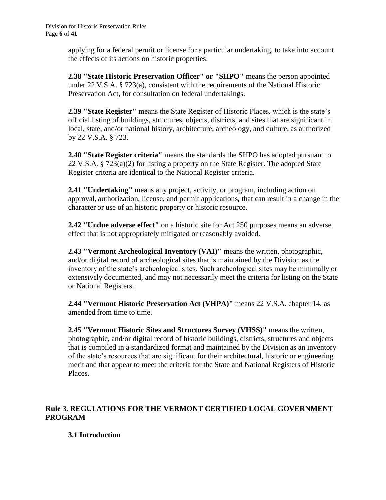applying for a federal permit or license for a particular undertaking, to take into account the effects of its actions on historic properties.

**2.38 "State Historic Preservation Officer" or "SHPO"** means the person appointed under 22 V.S.A. § 723(a), consistent with the requirements of the National Historic Preservation Act, for consultation on federal undertakings.

**2.39 "State Register"** means the State Register of Historic Places, which is the state's official listing of buildings, structures, objects, districts, and sites that are significant in local, state, and/or national history, architecture, archeology, and culture, as authorized by 22 V.S.A. § 723.

**2.40 "State Register criteria"** means the standards the SHPO has adopted pursuant to 22 V.S.A. § 723(a)(2) for listing a property on the State Register. The adopted State Register criteria are identical to the National Register criteria.

**2.41 "Undertaking"** means any project, activity, or program, including action on approval, authorization, license, and permit applications*,* that can result in a change in the character or use of an historic property or historic resource.

**2.42 "Undue adverse effect"** on a historic site for Act 250 purposes means an adverse effect that is not appropriately mitigated or reasonably avoided.

**2.43 "Vermont Archeological Inventory (VAI)"** means the written, photographic, and/or digital record of archeological sites that is maintained by the Division as the inventory of the state's archeological sites. Such archeological sites may be minimally or extensively documented, and may not necessarily meet the criteria for listing on the State or National Registers.

**2.44 "Vermont Historic Preservation Act (VHPA)"** means 22 V.S.A. chapter 14, as amended from time to time.

**2.45 "Vermont Historic Sites and Structures Survey (VHSS)"** means the written, photographic, and/or digital record of historic buildings, districts, structures and objects that is compiled in a standardized format and maintained by the Division as an inventory of the state's resources that are significant for their architectural, historic or engineering merit and that appear to meet the criteria for the State and National Registers of Historic Places.

# **Rule 3. REGULATIONS FOR THE VERMONT CERTIFIED LOCAL GOVERNMENT PROGRAM**

# **3.1 Introduction**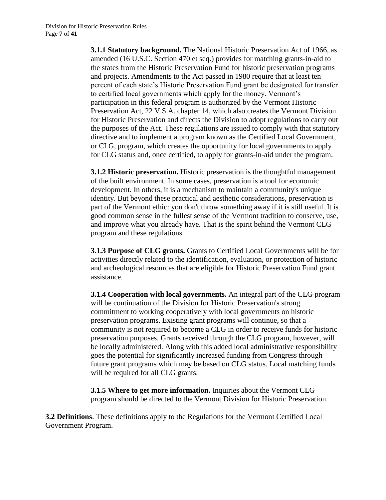**3.1.1 Statutory background.** The National Historic Preservation Act of 1966, as amended (16 U.S.C. Section 470 et seq.) provides for matching grants-in-aid to the states from the Historic Preservation Fund for historic preservation programs and projects. Amendments to the Act passed in 1980 require that at least ten percent of each state's Historic Preservation Fund grant be designated for transfer to certified local governments which apply for the money. Vermont's participation in this federal program is authorized by the Vermont Historic Preservation Act, 22 V.S.A. chapter 14, which also creates the Vermont Division for Historic Preservation and directs the Division to adopt regulations to carry out the purposes of the Act. These regulations are issued to comply with that statutory directive and to implement a program known as the Certified Local Government, or CLG, program, which creates the opportunity for local governments to apply for CLG status and, once certified, to apply for grants-in-aid under the program.

**3.1.2 Historic preservation.** Historic preservation is the thoughtful management of the built environment. In some cases, preservation is a tool for economic development. In others, it is a mechanism to maintain a community's unique identity. But beyond these practical and aesthetic considerations, preservation is part of the Vermont ethic: you don't throw something away if it is still useful. It is good common sense in the fullest sense of the Vermont tradition to conserve, use, and improve what you already have. That is the spirit behind the Vermont CLG program and these regulations.

**3.1.3 Purpose of CLG grants.** Grants to Certified Local Governments will be for activities directly related to the identification, evaluation, or protection of historic and archeological resources that are eligible for Historic Preservation Fund grant assistance.

**3.1.4 Cooperation with local governments.** An integral part of the CLG program will be continuation of the Division for Historic Preservation's strong commitment to working cooperatively with local governments on historic preservation programs. Existing grant programs will continue, so that a community is not required to become a CLG in order to receive funds for historic preservation purposes. Grants received through the CLG program, however, will be locally administered. Along with this added local administrative responsibility goes the potential for significantly increased funding from Congress through future grant programs which may be based on CLG status. Local matching funds will be required for all CLG grants.

**3.1.5 Where to get more information.** Inquiries about the Vermont CLG program should be directed to the Vermont Division for Historic Preservation.

**3.2 Definitions**. These definitions apply to the Regulations for the Vermont Certified Local Government Program.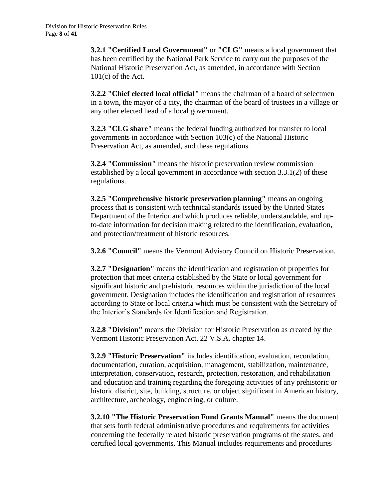**3.2.1 "Certified Local Government"** or **"CLG"** means a local government that has been certified by the National Park Service to carry out the purposes of the National Historic Preservation Act, as amended, in accordance with Section  $101(c)$  of the Act.

**3.2.2 "Chief elected local official"** means the chairman of a board of selectmen in a town, the mayor of a city, the chairman of the board of trustees in a village or any other elected head of a local government.

**3.2.3 "CLG share"** means the federal funding authorized for transfer to local governments in accordance with Section 103(c) of the National Historic Preservation Act, as amended, and these regulations.

**3.2.4 "Commission"** means the historic preservation review commission established by a local government in accordance with section 3.3.1(2) of these regulations.

**3.2.5 "Comprehensive historic preservation planning"** means an ongoing process that is consistent with technical standards issued by the United States Department of the Interior and which produces reliable, understandable, and upto-date information for decision making related to the identification, evaluation, and protection/treatment of historic resources.

**3.2.6 "Council"** means the Vermont Advisory Council on Historic Preservation.

**3.2.7 "Designation"** means the identification and registration of properties for protection that meet criteria established by the State or local government for significant historic and prehistoric resources within the jurisdiction of the local government. Designation includes the identification and registration of resources according to State or local criteria which must be consistent with the Secretary of the Interior's Standards for Identification and Registration.

**3.2.8 "Division"** means the Division for Historic Preservation as created by the Vermont Historic Preservation Act, 22 V.S.A. chapter 14.

**3.2.9 "Historic Preservation"** includes identification, evaluation, recordation, documentation, curation, acquisition, management, stabilization, maintenance, interpretation, conservation, research, protection, restoration, and rehabilitation and education and training regarding the foregoing activities of any prehistoric or historic district, site, building, structure, or object significant in American history, architecture, archeology, engineering, or culture.

**3.2.10 "The Historic Preservation Fund Grants Manual"** means the document that sets forth federal administrative procedures and requirements for activities concerning the federally related historic preservation programs of the states, and certified local governments. This Manual includes requirements and procedures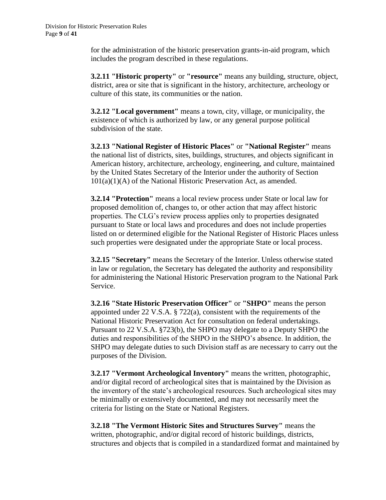for the administration of the historic preservation grants-in-aid program, which includes the program described in these regulations.

**3.2.11 "Historic property"** or **"resource"** means any building, structure, object, district, area or site that is significant in the history, architecture, archeology or culture of this state, its communities or the nation.

**3.2.12 "Local government"** means a town, city, village, or municipality, the existence of which is authorized by law, or any general purpose political subdivision of the state.

**3.2.13 "National Register of Historic Places"** or **"National Register"** means the national list of districts, sites, buildings, structures, and objects significant in American history, architecture, archeology, engineering, and culture, maintained by the United States Secretary of the Interior under the authority of Section 101(a)(1)(A) of the National Historic Preservation Act, as amended.

**3.2.14 "Protection"** means a local review process under State or local law for proposed demolition of, changes to, or other action that may affect historic properties. The CLG's review process applies only to properties designated pursuant to State or local laws and procedures and does not include properties listed on or determined eligible for the National Register of Historic Places unless such properties were designated under the appropriate State or local process.

**3.2.15 "Secretary"** means the Secretary of the Interior. Unless otherwise stated in law or regulation, the Secretary has delegated the authority and responsibility for administering the National Historic Preservation program to the National Park Service.

**3.2.16 "State Historic Preservation Officer"** or **"SHPO"** means the person appointed under 22 V.S.A. § 722(a), consistent with the requirements of the National Historic Preservation Act for consultation on federal undertakings. Pursuant to 22 V.S.A. §723(b), the SHPO may delegate to a Deputy SHPO the duties and responsibilities of the SHPO in the SHPO's absence. In addition, the SHPO may delegate duties to such Division staff as are necessary to carry out the purposes of the Division.

**3.2.17 "Vermont Archeological Inventory"** means the written, photographic, and/or digital record of archeological sites that is maintained by the Division as the inventory of the state's archeological resources. Such archeological sites may be minimally or extensively documented, and may not necessarily meet the criteria for listing on the State or National Registers.

**3.2.18 "The Vermont Historic Sites and Structures Survey"** means the written, photographic, and/or digital record of historic buildings, districts, structures and objects that is compiled in a standardized format and maintained by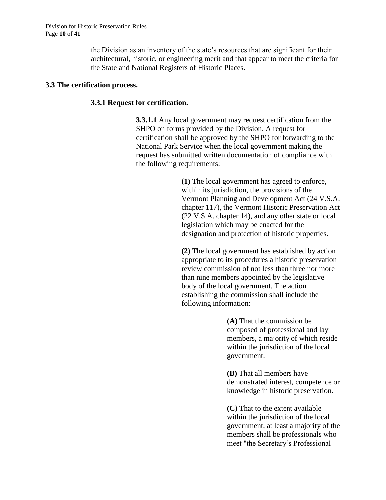the Division as an inventory of the state's resources that are significant for their architectural, historic, or engineering merit and that appear to meet the criteria for the State and National Registers of Historic Places.

#### **3.3 The certification process.**

#### **3.3.1 Request for certification.**

**3.3.1.1** Any local government may request certification from the SHPO on forms provided by the Division. A request for certification shall be approved by the SHPO for forwarding to the National Park Service when the local government making the request has submitted written documentation of compliance with the following requirements:

> **(1)** The local government has agreed to enforce, within its jurisdiction, the provisions of the Vermont Planning and Development Act (24 V.S.A. chapter 117), the Vermont Historic Preservation Act (22 V.S.A. chapter 14), and any other state or local legislation which may be enacted for the designation and protection of historic properties.

**(2)** The local government has established by action appropriate to its procedures a historic preservation review commission of not less than three nor more than nine members appointed by the legislative body of the local government. The action establishing the commission shall include the following information:

> **(A)** That the commission be composed of professional and lay members, a majority of which reside within the jurisdiction of the local government.

**(B)** That all members have demonstrated interest, competence or knowledge in historic preservation.

**(C)** That to the extent available within the jurisdiction of the local government, at least a majority of the members shall be professionals who meet "the Secretary's Professional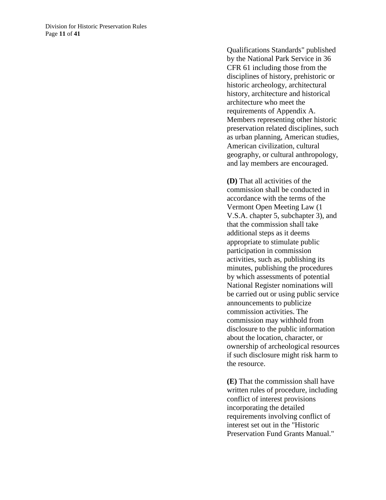Qualifications Standards" published by the National Park Service in 36 CFR 61 including those from the disciplines of history, prehistoric or historic archeology, architectural history, architecture and historical architecture who meet the requirements of Appendix A. Members representing other historic preservation related disciplines, such as urban planning, American studies, American civilization, cultural geography, or cultural anthropology, and lay members are encouraged.

**(D)** That all activities of the commission shall be conducted in accordance with the terms of the Vermont Open Meeting Law (1 V.S.A. chapter 5, subchapter 3), and that the commission shall take additional steps as it deems appropriate to stimulate public participation in commission activities, such as, publishing its minutes, publishing the procedures by which assessments of potential National Register nominations will be carried out or using public service announcements to publicize commission activities. The commission may withhold from disclosure to the public information about the location, character, or ownership of archeological resources if such disclosure might risk harm to the resource.

**(E)** That the commission shall have written rules of procedure, including conflict of interest provisions incorporating the detailed requirements involving conflict of interest set out in the "Historic Preservation Fund Grants Manual."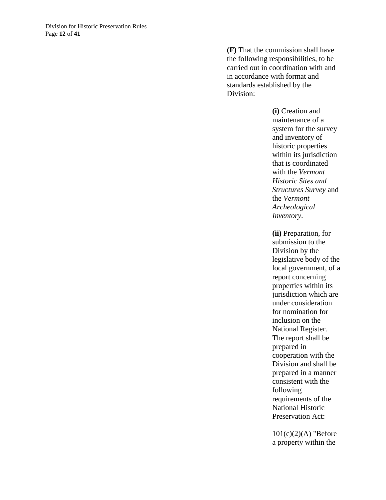**(F)** That the commission shall have the following responsibilities, to be carried out in coordination with and in accordance with format and standards established by the Division:

> **(i)** Creation and maintenance of a system for the survey and inventory of historic properties within its jurisdiction that is coordinated with the *Vermont Historic Sites and Structures Survey* and the *Vermont Archeological Inventory*.

**(ii)** Preparation, for submission to the Division by the legislative body of the local government, of a report concerning properties within its jurisdiction which are under consideration for nomination for inclusion on the National Register. The report shall be prepared in cooperation with the Division and shall be prepared in a manner consistent with the following requirements of the National Historic Preservation Act:

 $101(c)(2)(A)$  "Before a property within the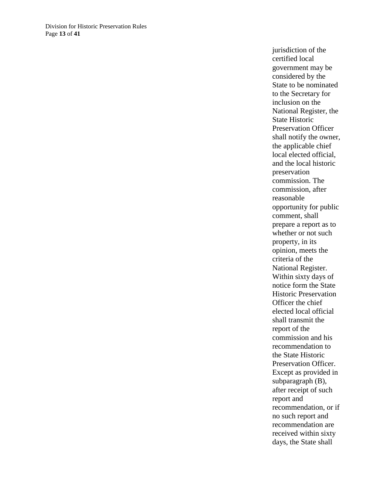jurisdiction of the certified local government may be considered by the State to be nominated to the Secretary for inclusion on the National Register, the State Historic Preservation Officer shall notify the owner, the applicable chief local elected official, and the local historic preservation commission. The commission, after reasonable opportunity for public comment, shall prepare a report as to whether or not such property, in its opinion, meets the criteria of the National Register. Within sixty days of notice form the State Historic Preservation Officer the chief elected local official shall transmit the report of the commission and his recommendation to the State Historic Preservation Officer. Except as provided in subparagraph (B), after receipt of such report and recommendation, or if no such report and recommendation are received within sixty days, the State shall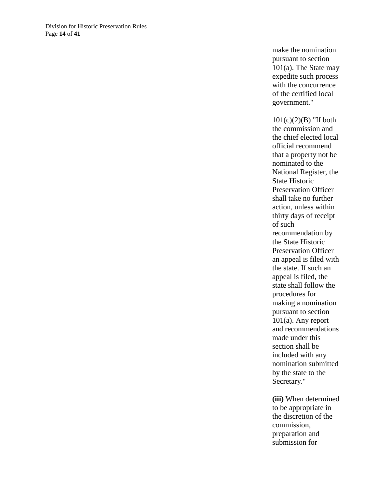make the nomination pursuant to section 101(a). The State may expedite such process with the concurrence of the certified local government."

 $101(c)(2)(B)$  "If both the commission and the chief elected local official recommend that a property not be nominated to the National Register, the State Historic Preservation Officer shall take no further action, unless within thirty days of receipt of such recommendation by the State Historic Preservation Officer an appeal is filed with the state. If such an appeal is filed, the state shall follow the procedures for making a nomination pursuant to section 101(a). Any report and recommendations made under this section shall be included with any nomination submitted by the state to the Secretary."

**(iii)** When determined to be appropriate in the discretion of the commission, preparation and submission for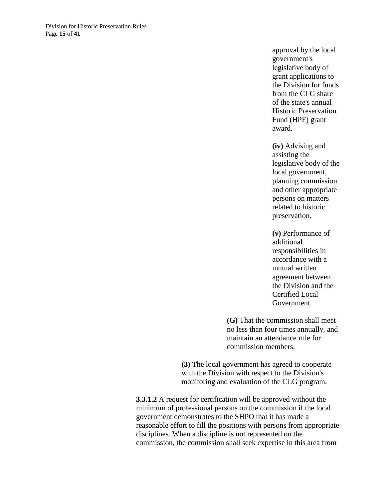approval by the local government's legislative body of grant applications to the Division for funds from the CLG share of the state's annual Historic Preservation Fund (HPF) grant award.

**(iv)** Advising and assisting the legislative body of the local government, planning commission and other appropriate persons on matters related to historic preservation.

**(v)** Performance of additional responsibilities in accordance with a mutual written agreement between the Division and the Certified Local Government.

**(G)** That the commission shall meet no less than four times annually, and maintain an attendance rule for commission members.

**(3)** The local government has agreed to cooperate with the Division with respect to the Division's monitoring and evaluation of the CLG program.

**3.3.1.2** A request for certification will be approved without the minimum of professional persons on the commission if the local government demonstrates to the SHPO that it has made a reasonable effort to fill the positions with persons from appropriate disciplines. When a discipline is not represented on the commission, the commission shall seek expertise in this area from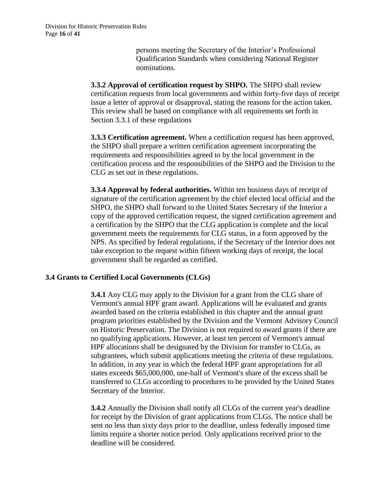persons meeting the Secretary of the Interior's Professional Qualification Standards when considering National Register nominations.

**3.3.2 Approval of certification request by SHPO.** The SHPO shall review certification requests from local governments and within forty-five days of receipt issue a letter of approval or disapproval, stating the reasons for the action taken. This review shall be based on compliance with all requirements set forth in Section 3.3.1 of these regulations

**3.3.3 Certification agreement.** When a certification request has been approved, the SHPO shall prepare a written certification agreement incorporating the requirements and responsibilities agreed to by the local government in the certification process and the responsibilities of the SHPO and the Division to the CLG as set out in these regulations.

**3.3.4 Approval by federal authorities.** Within ten business days of receipt of signature of the certification agreement by the chief elected local official and the SHPO, the SHPO shall forward to the United States Secretary of the Interior a copy of the approved certification request, the signed certification agreement and a certification by the SHPO that the CLG application is complete and the local government meets the requirements for CLG status, in a form approved by the NPS. As specified by federal regulations, if the Secretary of the Interior does not take exception to the request within fifteen working days of receipt, the local government shall be regarded as certified.

#### **3.4 Grants to Certified Local Governments (CLGs)**

**3.4.1** Any CLG may apply to the Division for a grant from the CLG share of Vermont's annual HPF grant award. Applications will be evaluated and grants awarded based on the criteria established in this chapter and the annual grant program priorities established by the Division and the Vermont Advisory Council on Historic Preservation. The Division is not required to award grants if there are no qualifying applications. However, at least ten percent of Vermont's annual HPF allocations shall be designated by the Division for transfer to CLGs, as subgrantees, which submit applications meeting the criteria of these regulations. In addition, in any year in which the federal HPF grant appropriations for all states exceeds \$65,000,000, one-half of Vermont's share of the excess shall be transferred to CLGs according to procedures to be provided by the United States Secretary of the Interior.

**3.4.2** Annually the Division shall notify all CLGs of the current year's deadline for receipt by the Division of grant applications from CLGs. The notice shall be sent no less than sixty days prior to the deadline, unless federally imposed time limits require a shorter notice period. Only applications received prior to the deadline will be considered.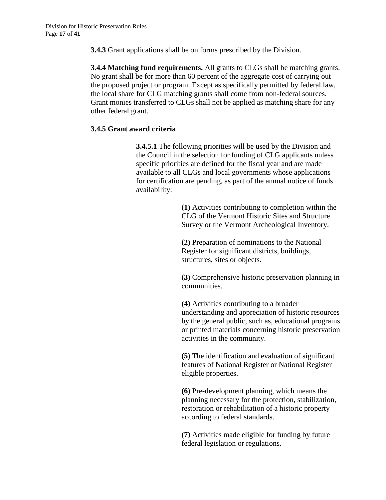**3.4.3** Grant applications shall be on forms prescribed by the Division.

**3.4.4 Matching fund requirements.** All grants to CLGs shall be matching grants. No grant shall be for more than 60 percent of the aggregate cost of carrying out the proposed project or program. Except as specifically permitted by federal law, the local share for CLG matching grants shall come from non-federal sources. Grant monies transferred to CLGs shall not be applied as matching share for any other federal grant.

## **3.4.5 Grant award criteria**

**3.4.5.1** The following priorities will be used by the Division and the Council in the selection for funding of CLG applicants unless specific priorities are defined for the fiscal year and are made available to all CLGs and local governments whose applications for certification are pending, as part of the annual notice of funds availability:

> **(1)** Activities contributing to completion within the CLG of the Vermont Historic Sites and Structure Survey or the Vermont Archeological Inventory.

**(2)** Preparation of nominations to the National Register for significant districts, buildings, structures, sites or objects.

**(3)** Comprehensive historic preservation planning in communities.

**(4)** Activities contributing to a broader understanding and appreciation of historic resources by the general public, such as, educational programs or printed materials concerning historic preservation activities in the community.

**(5)** The identification and evaluation of significant features of National Register or National Register eligible properties.

**(6)** Pre-development planning, which means the planning necessary for the protection, stabilization, restoration or rehabilitation of a historic property according to federal standards.

**(7)** Activities made eligible for funding by future federal legislation or regulations.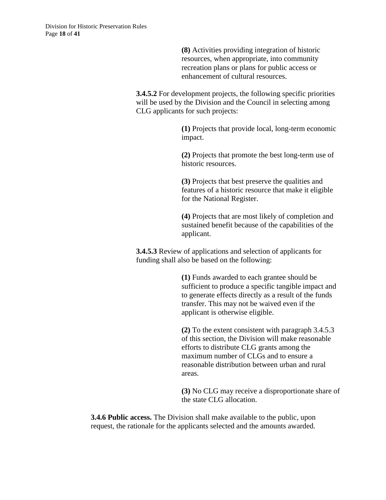**(8)** Activities providing integration of historic resources, when appropriate, into community recreation plans or plans for public access or enhancement of cultural resources.

**3.4.5.2** For development projects, the following specific priorities will be used by the Division and the Council in selecting among CLG applicants for such projects:

> **(1)** Projects that provide local, long-term economic impact.

**(2)** Projects that promote the best long-term use of historic resources.

**(3)** Projects that best preserve the qualities and features of a historic resource that make it eligible for the National Register.

**(4)** Projects that are most likely of completion and sustained benefit because of the capabilities of the applicant.

**3.4.5.3** Review of applications and selection of applicants for funding shall also be based on the following:

> **(1)** Funds awarded to each grantee should be sufficient to produce a specific tangible impact and to generate effects directly as a result of the funds transfer. This may not be waived even if the applicant is otherwise eligible.

**(2)** To the extent consistent with paragraph 3.4.5.3 of this section, the Division will make reasonable efforts to distribute CLG grants among the maximum number of CLGs and to ensure a reasonable distribution between urban and rural areas.

**(3)** No CLG may receive a disproportionate share of the state CLG allocation.

**3.4.6 Public access.** The Division shall make available to the public, upon request, the rationale for the applicants selected and the amounts awarded.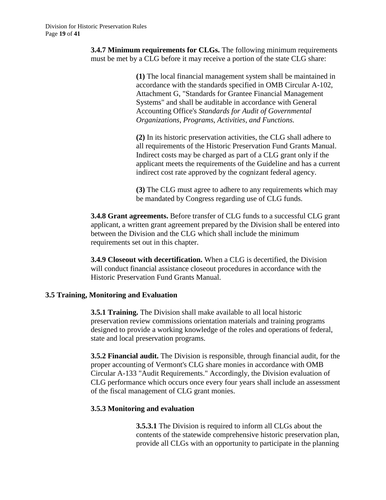**3.4.7 Minimum requirements for CLGs.** The following minimum requirements must be met by a CLG before it may receive a portion of the state CLG share:

> **(1)** The local financial management system shall be maintained in accordance with the standards specified in OMB Circular A-102, Attachment G, "Standards for Grantee Financial Management Systems" and shall be auditable in accordance with General Accounting Office's *Standards for Audit of Governmental Organizations, Programs, Activities, and Functions.*

**(2)** In its historic preservation activities, the CLG shall adhere to all requirements of the Historic Preservation Fund Grants Manual. Indirect costs may be charged as part of a CLG grant only if the applicant meets the requirements of the Guideline and has a current indirect cost rate approved by the cognizant federal agency.

**(3)** The CLG must agree to adhere to any requirements which may be mandated by Congress regarding use of CLG funds.

**3.4.8 Grant agreements.** Before transfer of CLG funds to a successful CLG grant applicant, a written grant agreement prepared by the Division shall be entered into between the Division and the CLG which shall include the minimum requirements set out in this chapter.

**3.4.9 Closeout with decertification.** When a CLG is decertified, the Division will conduct financial assistance closeout procedures in accordance with the Historic Preservation Fund Grants Manual.

## **3.5 Training, Monitoring and Evaluation**

**3.5.1 Training.** The Division shall make available to all local historic preservation review commissions orientation materials and training programs designed to provide a working knowledge of the roles and operations of federal, state and local preservation programs.

**3.5.2 Financial audit.** The Division is responsible, through financial audit, for the proper accounting of Vermont's CLG share monies in accordance with OMB Circular A-133 "Audit Requirements." Accordingly, the Division evaluation of CLG performance which occurs once every four years shall include an assessment of the fiscal management of CLG grant monies.

#### **3.5.3 Monitoring and evaluation**

**3.5.3.1** The Division is required to inform all CLGs about the contents of the statewide comprehensive historic preservation plan, provide all CLGs with an opportunity to participate in the planning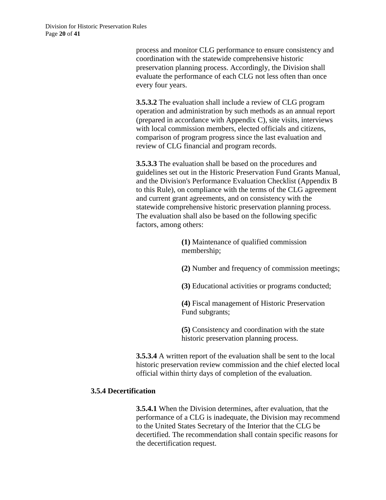process and monitor CLG performance to ensure consistency and coordination with the statewide comprehensive historic preservation planning process. Accordingly, the Division shall evaluate the performance of each CLG not less often than once every four years.

**3.5.3.2** The evaluation shall include a review of CLG program operation and administration by such methods as an annual report (prepared in accordance with Appendix C), site visits, interviews with local commission members, elected officials and citizens, comparison of program progress since the last evaluation and review of CLG financial and program records.

**3.5.3.3** The evaluation shall be based on the procedures and guidelines set out in the Historic Preservation Fund Grants Manual, and the Division's Performance Evaluation Checklist (Appendix B to this Rule), on compliance with the terms of the CLG agreement and current grant agreements, and on consistency with the statewide comprehensive historic preservation planning process. The evaluation shall also be based on the following specific factors, among others:

> **(1)** Maintenance of qualified commission membership;

**(2)** Number and frequency of commission meetings;

**(3)** Educational activities or programs conducted;

**(4)** Fiscal management of Historic Preservation Fund subgrants;

**(5)** Consistency and coordination with the state historic preservation planning process.

**3.5.3.4** A written report of the evaluation shall be sent to the local historic preservation review commission and the chief elected local official within thirty days of completion of the evaluation.

#### **3.5.4 Decertification**

**3.5.4.1** When the Division determines, after evaluation, that the performance of a CLG is inadequate, the Division may recommend to the United States Secretary of the Interior that the CLG be decertified. The recommendation shall contain specific reasons for the decertification request.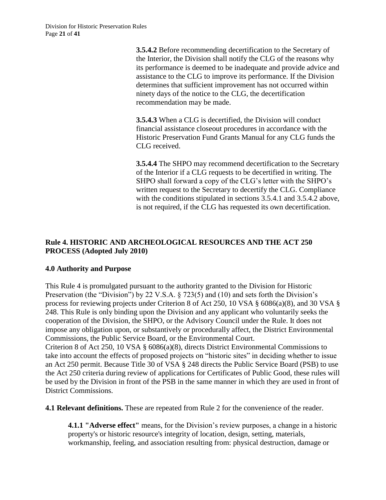**3.5.4.2** Before recommending decertification to the Secretary of the Interior, the Division shall notify the CLG of the reasons why its performance is deemed to be inadequate and provide advice and assistance to the CLG to improve its performance. If the Division determines that sufficient improvement has not occurred within ninety days of the notice to the CLG, the decertification recommendation may be made.

**3.5.4.3** When a CLG is decertified, the Division will conduct financial assistance closeout procedures in accordance with the Historic Preservation Fund Grants Manual for any CLG funds the CLG received.

**3.5.4.4** The SHPO may recommend decertification to the Secretary of the Interior if a CLG requests to be decertified in writing. The SHPO shall forward a copy of the CLG's letter with the SHPO's written request to the Secretary to decertify the CLG. Compliance with the conditions stipulated in sections 3.5.4.1 and 3.5.4.2 above, is not required, if the CLG has requested its own decertification.

# **Rule 4. HISTORIC AND ARCHEOLOGICAL RESOURCES AND THE ACT 250 PROCESS (Adopted July 2010)**

## **4.0 Authority and Purpose**

This Rule 4 is promulgated pursuant to the authority granted to the Division for Historic Preservation (the "Division") by 22 V.S.A. § 723(5) and (10) and sets forth the Division's process for reviewing projects under Criterion 8 of Act 250, 10 VSA § 6086(a)(8), and 30 VSA § 248. This Rule is only binding upon the Division and any applicant who voluntarily seeks the cooperation of the Division, the SHPO, or the Advisory Council under the Rule. It does not impose any obligation upon, or substantively or procedurally affect, the District Environmental Commissions, the Public Service Board, or the Environmental Court.

Criterion 8 of Act 250, 10 VSA § 6086(a)(8), directs District Environmental Commissions to take into account the effects of proposed projects on "historic sites" in deciding whether to issue an Act 250 permit. Because Title 30 of VSA § 248 directs the Public Service Board (PSB) to use the Act 250 criteria during review of applications for Certificates of Public Good, these rules will be used by the Division in front of the PSB in the same manner in which they are used in front of District Commissions.

**4.1 Relevant definitions.** These are repeated from Rule 2 for the convenience of the reader.

**4.1.1 "Adverse effect"** means, for the Division's review purposes, a change in a historic property's or historic resource's integrity of location, design, setting, materials, workmanship, feeling, and association resulting from: physical destruction, damage or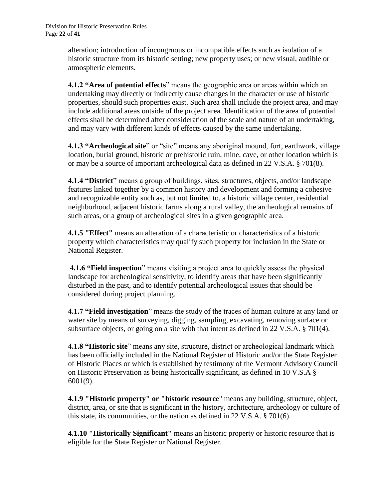alteration; introduction of incongruous or incompatible effects such as isolation of a historic structure from its historic setting; new property uses; or new visual, audible or atmospheric elements.

**4.1.2 "Area of potential effects**" means the geographic area or areas within which an undertaking may directly or indirectly cause changes in the character or use of historic properties, should such properties exist. Such area shall include the project area, and may include additional areas outside of the project area. Identification of the area of potential effects shall be determined after consideration of the scale and nature of an undertaking, and may vary with different kinds of effects caused by the same undertaking.

**4.1.3 "Archeological site**" or "site" means any aboriginal mound, fort, earthwork, village location, burial ground, historic or prehistoric ruin, mine, cave, or other location which is or may be a source of important archeological data as defined in 22 V.S.A. § 701(8).

**4.1.4 "District**" means a group of buildings, sites, structures, objects, and/or landscape features linked together by a common history and development and forming a cohesive and recognizable entity such as, but not limited to, a historic village center, residential neighborhood, adjacent historic farms along a rural valley, the archeological remains of such areas, or a group of archeological sites in a given geographic area.

**4.1.5 "Effect"** means an alteration of a characteristic or characteristics of a historic property which characteristics may qualify such property for inclusion in the State or National Register.

**4.1.6 "Field inspection**" means visiting a project area to quickly assess the physical landscape for archeological sensitivity, to identify areas that have been significantly disturbed in the past, and to identify potential archeological issues that should be considered during project planning.

**4.1.7 "Field investigation**" means the study of the traces of human culture at any land or water site by means of surveying, digging, sampling, excavating, removing surface or subsurface objects, or going on a site with that intent as defined in 22 V.S.A. § 701(4).

**4.1.8 "Historic site**" means any site, structure, district or archeological landmark which has been officially included in the National Register of Historic and/or the State Register of Historic Places or which is established by testimony of the Vermont Advisory Council on Historic Preservation as being historically significant, as defined in 10 V.S.A § 6001(9).

**4.1.9 "Historic property" or "historic resource**" means any building, structure, object, district, area, or site that is significant in the history, architecture, archeology or culture of this state, its communities, or the nation as defined in 22 V.S.A. § 701(6).

**4.1.10 "Historically Significant"** means an historic property or historic resource that is eligible for the State Register or National Register.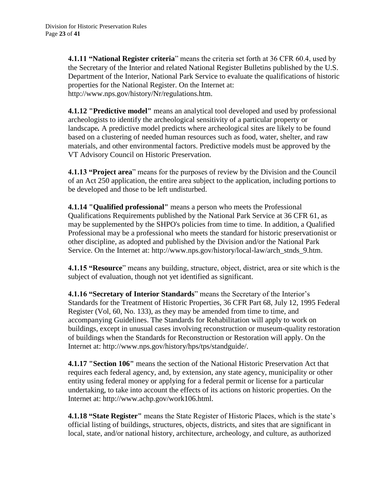**4.1.11 "National Register criteria**" means the criteria set forth at 36 CFR 60.4, used by the Secretary of the Interior and related National Register Bulletins published by the U.S. Department of the Interior, National Park Service to evaluate the qualifications of historic properties for the National Register. On the Internet at: http://www.nps.gov/history/Nr/regulations.htm.

**4.1.12 "Predictive model"** means an analytical tool developed and used by professional archeologists to identify the archeological sensitivity of a particular property or landscape*.* A predictive model predicts where archeological sites are likely to be found based on a clustering of needed human resources such as food, water, shelter, and raw materials, and other environmental factors. Predictive models must be approved by the VT Advisory Council on Historic Preservation.

**4.1.13 "Project area**" means for the purposes of review by the Division and the Council of an Act 250 application, the entire area subject to the application, including portions to be developed and those to be left undisturbed.

**4.1.14 "Qualified professional"** means a person who meets the Professional Qualifications Requirements published by the National Park Service at 36 CFR 61, as may be supplemented by the SHPO's policies from time to time. In addition, a Qualified Professional may be a professional who meets the standard for historic preservationist or other discipline, as adopted and published by the Division and/or the National Park Service. On the Internet at: http://www.nps.gov/history/local-law/arch\_stnds\_9.htm.

**4.1.15 "Resource**" means any building, structure, object, district, area or site which is the subject of evaluation, though not yet identified as significant.

**4.1.16 "Secretary of Interior Standards**" means the Secretary of the Interior's Standards for the Treatment of Historic Properties, 36 CFR Part 68, July 12, 1995 Federal Register (Vol, 60, No. 133), as they may be amended from time to time, and accompanying Guidelines. The Standards for Rehabilitation will apply to work on buildings, except in unusual cases involving reconstruction or museum-quality restoration of buildings when the Standards for Reconstruction or Restoration will apply. On the Internet at: http://www.nps.gov/history/hps/tps/standguide/.

**4.1.17 "Section 106"** means the section of the National Historic Preservation Act that requires each federal agency, and, by extension, any state agency, municipality or other entity using federal money or applying for a federal permit or license for a particular undertaking, to take into account the effects of its actions on historic properties. On the Internet at: http://www.achp.gov/work106.html.

**4.1.18 "State Register"** means the State Register of Historic Places, which is the state's official listing of buildings, structures, objects, districts, and sites that are significant in local, state, and/or national history, architecture, archeology, and culture, as authorized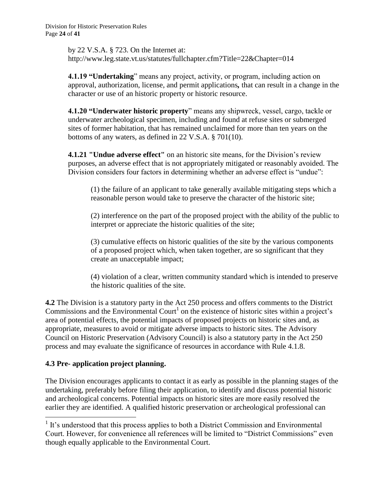by 22 V.S.A. § 723. On the Internet at: http://www.leg.state.vt.us/statutes/fullchapter.cfm?Title=22&Chapter=014

**4.1.19 "Undertaking**" means any project, activity, or program, including action on approval, authorization, license, and permit applications*,* that can result in a change in the character or use of an historic property or historic resource.

**4.1.20 "Underwater historic property**" means any shipwreck, vessel, cargo, tackle or underwater archeological specimen, including and found at refuse sites or submerged sites of former habitation, that has remained unclaimed for more than ten years on the bottoms of any waters, as defined in 22 V.S.A. § 701(10).

**4.1.21 "Undue adverse effect"** on an historic site means, for the Division's review purposes, an adverse effect that is not appropriately mitigated or reasonably avoided. The Division considers four factors in determining whether an adverse effect is "undue":

(1) the failure of an applicant to take generally available mitigating steps which a reasonable person would take to preserve the character of the historic site;

(2) interference on the part of the proposed project with the ability of the public to interpret or appreciate the historic qualities of the site;

(3) cumulative effects on historic qualities of the site by the various components of a proposed project which, when taken together, are so significant that they create an unacceptable impact;

(4) violation of a clear, written community standard which is intended to preserve the historic qualities of the site.

**4.2** The Division is a statutory party in the Act 250 process and offers comments to the District Commissions and the Environmental Court<sup>1</sup> on the existence of historic sites within a project's area of potential effects, the potential impacts of proposed projects on historic sites and, as appropriate, measures to avoid or mitigate adverse impacts to historic sites. The Advisory Council on Historic Preservation (Advisory Council) is also a statutory party in the Act 250 process and may evaluate the significance of resources in accordance with Rule 4.1.8.

# **4.3 Pre- application project planning.**

The Division encourages applicants to contact it as early as possible in the planning stages of the undertaking, preferably before filing their application, to identify and discuss potential historic and archeological concerns. Potential impacts on historic sites are more easily resolved the earlier they are identified. A qualified historic preservation or archeological professional can

l <sup>1</sup> It's understood that this process applies to both a District Commission and Environmental Court. However, for convenience all references will be limited to "District Commissions" even though equally applicable to the Environmental Court.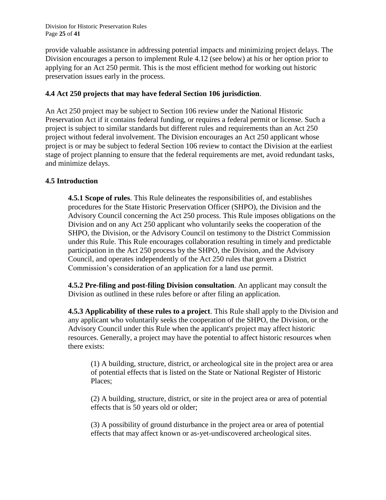Division for Historic Preservation Rules Page **25** of **41**

provide valuable assistance in addressing potential impacts and minimizing project delays. The Division encourages a person to implement Rule 4.12 (see below) at his or her option prior to applying for an Act 250 permit. This is the most efficient method for working out historic preservation issues early in the process.

#### **4.4 Act 250 projects that may have federal Section 106 jurisdiction**.

An Act 250 project may be subject to Section 106 review under the National Historic Preservation Act if it contains federal funding, or requires a federal permit or license. Such a project is subject to similar standards but different rules and requirements than an Act 250 project without federal involvement. The Division encourages an Act 250 applicant whose project is or may be subject to federal Section 106 review to contact the Division at the earliest stage of project planning to ensure that the federal requirements are met, avoid redundant tasks, and minimize delays.

#### **4.5 Introduction**

**4.5.1 Scope of rules**. This Rule delineates the responsibilities of, and establishes procedures for the State Historic Preservation Officer (SHPO), the Division and the Advisory Council concerning the Act 250 process. This Rule imposes obligations on the Division and on any Act 250 applicant who voluntarily seeks the cooperation of the SHPO, the Division, or the Advisory Council on testimony to the District Commission under this Rule. This Rule encourages collaboration resulting in timely and predictable participation in the Act 250 process by the SHPO, the Division, and the Advisory Council, and operates independently of the Act 250 rules that govern a District Commission's consideration of an application for a land use permit.

**4.5.2 Pre-filing and post-filing Division consultation**. An applicant may consult the Division as outlined in these rules before or after filing an application.

**4.5.3 Applicability of these rules to a project**. This Rule shall apply to the Division and any applicant who voluntarily seeks the cooperation of the SHPO, the Division, or the Advisory Council under this Rule when the applicant's project may affect historic resources. Generally, a project may have the potential to affect historic resources when there exists:

(1) A building, structure, district, or archeological site in the project area or area of potential effects that is listed on the State or National Register of Historic Places;

(2) A building, structure, district, or site in the project area or area of potential effects that is 50 years old or older;

(3) A possibility of ground disturbance in the project area or area of potential effects that may affect known or as-yet-undiscovered archeological sites.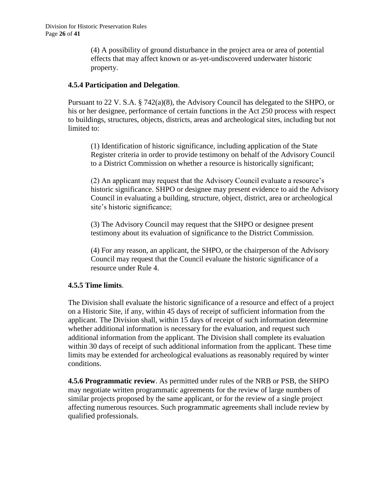(4) A possibility of ground disturbance in the project area or area of potential effects that may affect known or as-yet-undiscovered underwater historic property.

## **4.5.4 Participation and Delegation**.

Pursuant to 22 V. S.A. § 742(a)(8), the Advisory Council has delegated to the SHPO, or his or her designee, performance of certain functions in the Act 250 process with respect to buildings, structures, objects, districts, areas and archeological sites, including but not limited to:

(1) Identification of historic significance, including application of the State Register criteria in order to provide testimony on behalf of the Advisory Council to a District Commission on whether a resource is historically significant;

(2) An applicant may request that the Advisory Council evaluate a resource's historic significance. SHPO or designee may present evidence to aid the Advisory Council in evaluating a building, structure, object, district, area or archeological site's historic significance;

(3) The Advisory Council may request that the SHPO or designee present testimony about its evaluation of significance to the District Commission.

(4) For any reason, an applicant, the SHPO, or the chairperson of the Advisory Council may request that the Council evaluate the historic significance of a resource under Rule 4.

## **4.5.5 Time limits**.

The Division shall evaluate the historic significance of a resource and effect of a project on a Historic Site, if any, within 45 days of receipt of sufficient information from the applicant. The Division shall, within 15 days of receipt of such information determine whether additional information is necessary for the evaluation, and request such additional information from the applicant. The Division shall complete its evaluation within 30 days of receipt of such additional information from the applicant. These time limits may be extended for archeological evaluations as reasonably required by winter conditions.

**4.5.6 Programmatic review**. As permitted under rules of the NRB or PSB, the SHPO may negotiate written programmatic agreements for the review of large numbers of similar projects proposed by the same applicant, or for the review of a single project affecting numerous resources. Such programmatic agreements shall include review by qualified professionals.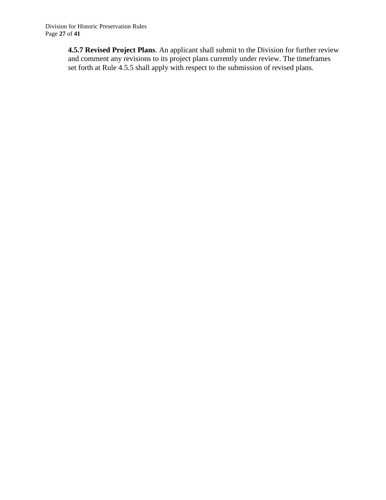**4.5.7 Revised Project Plans**. An applicant shall submit to the Division for further review and comment any revisions to its project plans currently under review. The timeframes set forth at Rule 4.5.5 shall apply with respect to the submission of revised plans.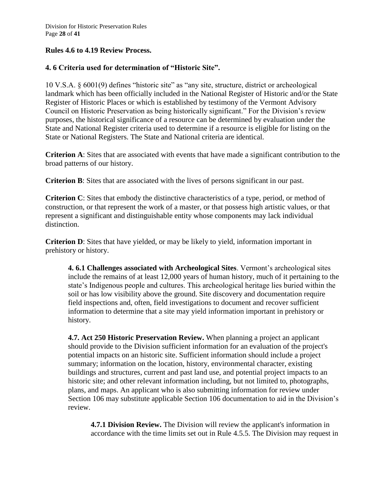## **Rules 4.6 to 4.19 Review Process.**

# **4. 6 Criteria used for determination of "Historic Site".**

10 V.S.A. § 6001(9) defines "historic site" as "any site, structure, district or archeological landmark which has been officially included in the National Register of Historic and/or the State Register of Historic Places or which is established by testimony of the Vermont Advisory Council on Historic Preservation as being historically significant." For the Division's review purposes, the historical significance of a resource can be determined by evaluation under the State and National Register criteria used to determine if a resource is eligible for listing on the State or National Registers. The State and National criteria are identical.

**Criterion A**: Sites that are associated with events that have made a significant contribution to the broad patterns of our history.

**Criterion B**: Sites that are associated with the lives of persons significant in our past.

**Criterion C**: Sites that embody the distinctive characteristics of a type, period, or method of construction, or that represent the work of a master, or that possess high artistic values, or that represent a significant and distinguishable entity whose components may lack individual distinction.

**Criterion D**: Sites that have yielded, or may be likely to yield, information important in prehistory or history.

**4. 6.1 Challenges associated with Archeological Sites**. Vermont's archeological sites include the remains of at least 12,000 years of human history, much of it pertaining to the state's Indigenous people and cultures. This archeological heritage lies buried within the soil or has low visibility above the ground. Site discovery and documentation require field inspections and, often, field investigations to document and recover sufficient information to determine that a site may yield information important in prehistory or history.

**4.7. Act 250 Historic Preservation Review.** When planning a project an applicant should provide to the Division sufficient information for an evaluation of the project's potential impacts on an historic site. Sufficient information should include a project summary; information on the location, history, environmental character, existing buildings and structures, current and past land use, and potential project impacts to an historic site; and other relevant information including, but not limited to, photographs, plans, and maps. An applicant who is also submitting information for review under Section 106 may substitute applicable Section 106 documentation to aid in the Division's review.

**4.7.1 Division Review.** The Division will review the applicant's information in accordance with the time limits set out in Rule 4.5.5. The Division may request in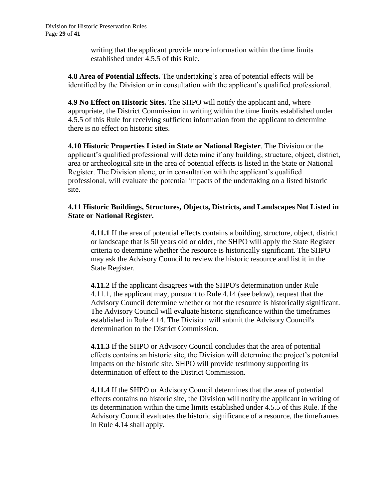writing that the applicant provide more information within the time limits established under 4.5.5 of this Rule.

**4.8 Area of Potential Effects.** The undertaking's area of potential effects will be identified by the Division or in consultation with the applicant's qualified professional.

**4.9 No Effect on Historic Sites.** The SHPO will notify the applicant and, where appropriate, the District Commission in writing within the time limits established under 4.5.5 of this Rule for receiving sufficient information from the applicant to determine there is no effect on historic sites.

**4.10 Historic Properties Listed in State or National Register**. The Division or the applicant's qualified professional will determine if any building, structure, object, district, area or archeological site in the area of potential effects is listed in the State or National Register. The Division alone, or in consultation with the applicant's qualified professional, will evaluate the potential impacts of the undertaking on a listed historic site.

## **4.11 Historic Buildings, Structures, Objects, Districts, and Landscapes Not Listed in State or National Register.**

**4.11.1** If the area of potential effects contains a building, structure, object, district or landscape that is 50 years old or older, the SHPO will apply the State Register criteria to determine whether the resource is historically significant. The SHPO may ask the Advisory Council to review the historic resource and list it in the State Register.

**4.11.2** If the applicant disagrees with the SHPO's determination under Rule 4.11.1, the applicant may, pursuant to Rule 4.14 (see below), request that the Advisory Council determine whether or not the resource is historically significant. The Advisory Council will evaluate historic significance within the timeframes established in Rule 4.14. The Division will submit the Advisory Council's determination to the District Commission.

**4.11.3** If the SHPO or Advisory Council concludes that the area of potential effects contains an historic site, the Division will determine the project's potential impacts on the historic site. SHPO will provide testimony supporting its determination of effect to the District Commission.

**4.11.4** If the SHPO or Advisory Council determines that the area of potential effects contains no historic site, the Division will notify the applicant in writing of its determination within the time limits established under 4.5.5 of this Rule. If the Advisory Council evaluates the historic significance of a resource, the timeframes in Rule 4.14 shall apply.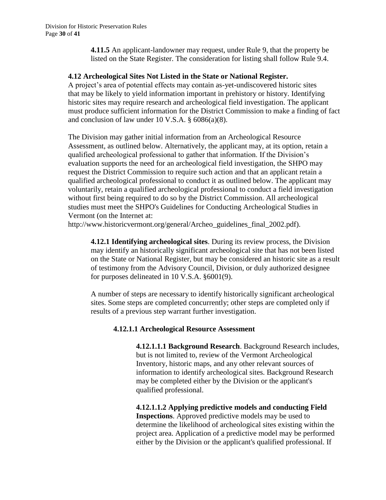**4.11.5** An applicant-landowner may request, under Rule 9, that the property be listed on the State Register. The consideration for listing shall follow Rule 9.4.

#### **4.12 Archeological Sites Not Listed in the State or National Register.**

A project's area of potential effects may contain as-yet-undiscovered historic sites that may be likely to yield information important in prehistory or history. Identifying historic sites may require research and archeological field investigation. The applicant must produce sufficient information for the District Commission to make a finding of fact and conclusion of law under 10 V.S.A.  $\S$  6086(a)(8).

The Division may gather initial information from an Archeological Resource Assessment, as outlined below. Alternatively, the applicant may, at its option, retain a qualified archeological professional to gather that information. If the Division's evaluation supports the need for an archeological field investigation, the SHPO may request the District Commission to require such action and that an applicant retain a qualified archeological professional to conduct it as outlined below. The applicant may voluntarily, retain a qualified archeological professional to conduct a field investigation without first being required to do so by the District Commission. All archeological studies must meet the SHPO's Guidelines for Conducting Archeological Studies in Vermont (on the Internet at:

http://www.historicvermont.org/general/Archeo\_guidelines\_final\_2002.pdf).

**4.12.1 Identifying archeological sites**. During its review process, the Division may identify an historically significant archeological site that has not been listed on the State or National Register, but may be considered an historic site as a result of testimony from the Advisory Council, Division, or duly authorized designee for purposes delineated in 10 V.S.A. §6001(9).

A number of steps are necessary to identify historically significant archeological sites. Some steps are completed concurrently; other steps are completed only if results of a previous step warrant further investigation.

## **4.12.1.1 Archeological Resource Assessment**

**4.12.1.1.1 Background Research**. Background Research includes, but is not limited to, review of the Vermont Archeological Inventory, historic maps, and any other relevant sources of information to identify archeological sites. Background Research may be completed either by the Division or the applicant's qualified professional.

**4.12.1.1.2 Applying predictive models and conducting Field Inspections**. Approved predictive models may be used to determine the likelihood of archeological sites existing within the project area. Application of a predictive model may be performed either by the Division or the applicant's qualified professional. If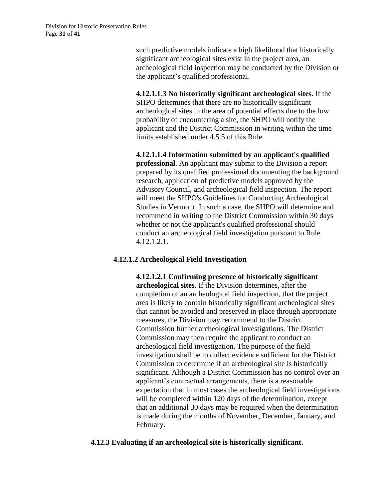such predictive models indicate a high likelihood that historically significant archeological sites exist in the project area, an archeological field inspection may be conducted by the Division or the applicant's qualified professional.

**4.12.1.1.3 No historically significant archeological sites**. If the SHPO determines that there are no historically significant archeological sites in the area of potential effects due to the low probability of encountering a site, the SHPO will notify the applicant and the District Commission in writing within the time limits established under 4.5.5 of this Rule.

**4.12.1.1.4 Information submitted by an applicant's qualified professional**. An applicant may submit to the Division a report prepared by its qualified professional documenting the background research, application of predictive models approved by the Advisory Council, and archeological field inspection. The report will meet the SHPO's Guidelines for Conducting Archeological Studies in Vermont. In such a case, the SHPO will determine and recommend in writing to the District Commission within 30 days whether or not the applicant's qualified professional should conduct an archeological field investigation pursuant to Rule 4.12.1.2.1.

#### **4.12.1.2 Archeological Field Investigation**

**4.12.1.2.1 Confirming presence of historically significant archeological sites**. If the Division determines, after the completion of an archeological field inspection, that the project area is likely to contain historically significant archeological sites that cannot be avoided and preserved in-place through appropriate measures, the Division may recommend to the District Commission further archeological investigations. The District Commission may then require the applicant to conduct an archeological field investigation. The purpose of the field investigation shall be to collect evidence sufficient for the District Commission to determine if an archeological site is historically significant. Although a District Commission has no control over an applicant's contractual arrangements, there is a reasonable expectation that in most cases the archeological field investigations will be completed within 120 days of the determination, except that an additional 30 days may be required when the determination is made during the months of November, December, January, and February.

## **4.12.3 Evaluating if an archeological site is historically significant.**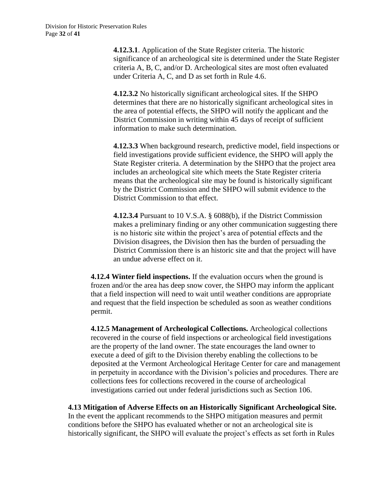**4.12.3.1**. Application of the State Register criteria. The historic significance of an archeological site is determined under the State Register criteria A, B, C, and/or D. Archeological sites are most often evaluated under Criteria A, C, and D as set forth in Rule 4.6.

**4.12.3.2** No historically significant archeological sites. If the SHPO determines that there are no historically significant archeological sites in the area of potential effects, the SHPO will notify the applicant and the District Commission in writing within 45 days of receipt of sufficient information to make such determination.

**4.12.3.3** When background research, predictive model, field inspections or field investigations provide sufficient evidence, the SHPO will apply the State Register criteria. A determination by the SHPO that the project area includes an archeological site which meets the State Register criteria means that the archeological site may be found is historically significant by the District Commission and the SHPO will submit evidence to the District Commission to that effect.

**4.12.3.4** Pursuant to 10 V.S.A. § 6088(b), if the District Commission makes a preliminary finding or any other communication suggesting there is no historic site within the project's area of potential effects and the Division disagrees, the Division then has the burden of persuading the District Commission there is an historic site and that the project will have an undue adverse effect on it.

**4.12.4 Winter field inspections.** If the evaluation occurs when the ground is frozen and/or the area has deep snow cover, the SHPO may inform the applicant that a field inspection will need to wait until weather conditions are appropriate and request that the field inspection be scheduled as soon as weather conditions permit.

**4.12.5 Management of Archeological Collections.** Archeological collections recovered in the course of field inspections or archeological field investigations are the property of the land owner. The state encourages the land owner to execute a deed of gift to the Division thereby enabling the collections to be deposited at the Vermont Archeological Heritage Center for care and management in perpetuity in accordance with the Division's policies and procedures. There are collections fees for collections recovered in the course of archeological investigations carried out under federal jurisdictions such as Section 106.

**4.13 Mitigation of Adverse Effects on an Historically Significant Archeological Site.**  In the event the applicant recommends to the SHPO mitigation measures and permit conditions before the SHPO has evaluated whether or not an archeological site is historically significant, the SHPO will evaluate the project's effects as set forth in Rules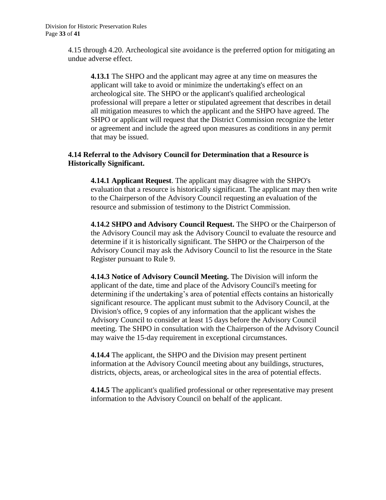4.15 through 4.20. Archeological site avoidance is the preferred option for mitigating an undue adverse effect.

**4.13.1** The SHPO and the applicant may agree at any time on measures the applicant will take to avoid or minimize the undertaking's effect on an archeological site. The SHPO or the applicant's qualified archeological professional will prepare a letter or stipulated agreement that describes in detail all mitigation measures to which the applicant and the SHPO have agreed. The SHPO or applicant will request that the District Commission recognize the letter or agreement and include the agreed upon measures as conditions in any permit that may be issued.

#### **4.14 Referral to the Advisory Council for Determination that a Resource is Historically Significant.**

**4.14.1 Applicant Request**. The applicant may disagree with the SHPO's evaluation that a resource is historically significant. The applicant may then write to the Chairperson of the Advisory Council requesting an evaluation of the resource and submission of testimony to the District Commission.

**4.14.2 SHPO and Advisory Council Request.** The SHPO or the Chairperson of the Advisory Council may ask the Advisory Council to evaluate the resource and determine if it is historically significant. The SHPO or the Chairperson of the Advisory Council may ask the Advisory Council to list the resource in the State Register pursuant to Rule 9.

**4.14.3 Notice of Advisory Council Meeting.** The Division will inform the applicant of the date, time and place of the Advisory Council's meeting for determining if the undertaking's area of potential effects contains an historically significant resource. The applicant must submit to the Advisory Council, at the Division's office, 9 copies of any information that the applicant wishes the Advisory Council to consider at least 15 days before the Advisory Council meeting. The SHPO in consultation with the Chairperson of the Advisory Council may waive the 15-day requirement in exceptional circumstances.

**4.14.4** The applicant, the SHPO and the Division may present pertinent information at the Advisory Council meeting about any buildings, structures, districts, objects, areas, or archeological sites in the area of potential effects.

**4.14.5** The applicant's qualified professional or other representative may present information to the Advisory Council on behalf of the applicant.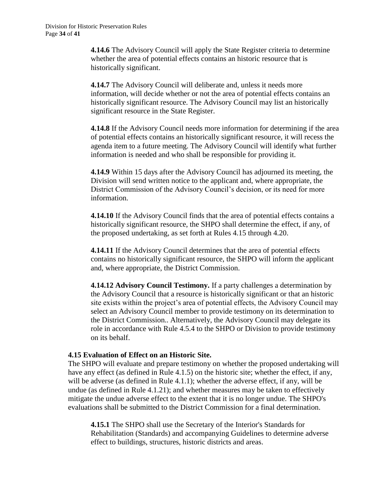**4.14.6** The Advisory Council will apply the State Register criteria to determine whether the area of potential effects contains an historic resource that is historically significant.

**4.14.7** The Advisory Council will deliberate and, unless it needs more information, will decide whether or not the area of potential effects contains an historically significant resource. The Advisory Council may list an historically significant resource in the State Register.

**4.14.8** If the Advisory Council needs more information for determining if the area of potential effects contains an historically significant resource, it will recess the agenda item to a future meeting. The Advisory Council will identify what further information is needed and who shall be responsible for providing it.

**4.14.9** Within 15 days after the Advisory Council has adjourned its meeting, the Division will send written notice to the applicant and, where appropriate, the District Commission of the Advisory Council's decision, or its need for more information.

**4.14.10** If the Advisory Council finds that the area of potential effects contains a historically significant resource, the SHPO shall determine the effect, if any, of the proposed undertaking, as set forth at Rules 4.15 through 4.20.

**4.14.11** If the Advisory Council determines that the area of potential effects contains no historically significant resource, the SHPO will inform the applicant and, where appropriate, the District Commission.

**4.14.12 Advisory Council Testimony.** If a party challenges a determination by the Advisory Council that a resource is historically significant or that an historic site exists within the project's area of potential effects, the Advisory Council may select an Advisory Council member to provide testimony on its determination to the District Commission.. Alternatively, the Advisory Council may delegate its role in accordance with Rule 4.5.4 to the SHPO or Division to provide testimony on its behalf.

## **4.15 Evaluation of Effect on an Historic Site.**

The SHPO will evaluate and prepare testimony on whether the proposed undertaking will have any effect (as defined in Rule 4.1.5) on the historic site; whether the effect, if any, will be adverse (as defined in Rule 4.1.1); whether the adverse effect, if any, will be undue (as defined in Rule 4.1.21); and whether measures may be taken to effectively mitigate the undue adverse effect to the extent that it is no longer undue. The SHPO's evaluations shall be submitted to the District Commission for a final determination.

**4.15.1** The SHPO shall use the Secretary of the Interior's Standards for Rehabilitation (Standards) and accompanying Guidelines to determine adverse effect to buildings, structures, historic districts and areas.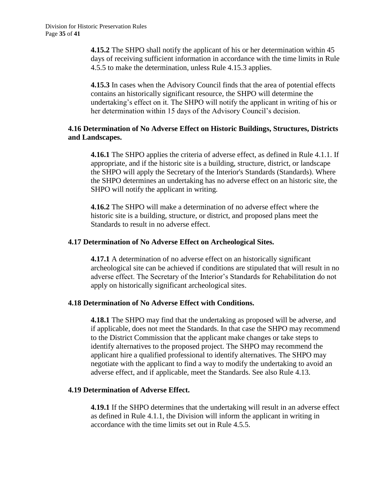**4.15.2** The SHPO shall notify the applicant of his or her determination within 45 days of receiving sufficient information in accordance with the time limits in Rule 4.5.5 to make the determination, unless Rule 4.15.3 applies.

**4.15.3** In cases when the Advisory Council finds that the area of potential effects contains an historically significant resource, the SHPO will determine the undertaking's effect on it. The SHPO will notify the applicant in writing of his or her determination within 15 days of the Advisory Council's decision.

### **4.16 Determination of No Adverse Effect on Historic Buildings, Structures, Districts and Landscapes.**

**4.16.1** The SHPO applies the criteria of adverse effect, as defined in Rule 4.1.1. If appropriate, and if the historic site is a building, structure, district, or landscape the SHPO will apply the Secretary of the Interior's Standards (Standards). Where the SHPO determines an undertaking has no adverse effect on an historic site, the SHPO will notify the applicant in writing.

**4.16.2** The SHPO will make a determination of no adverse effect where the historic site is a building, structure, or district, and proposed plans meet the Standards to result in no adverse effect.

#### **4.17 Determination of No Adverse Effect on Archeological Sites.**

**4.17.1** A determination of no adverse effect on an historically significant archeological site can be achieved if conditions are stipulated that will result in no adverse effect. The Secretary of the Interior's Standards for Rehabilitation do not apply on historically significant archeological sites.

## **4.18 Determination of No Adverse Effect with Conditions.**

**4.18.1** The SHPO may find that the undertaking as proposed will be adverse, and if applicable, does not meet the Standards. In that case the SHPO may recommend to the District Commission that the applicant make changes or take steps to identify alternatives to the proposed project. The SHPO may recommend the applicant hire a qualified professional to identify alternatives. The SHPO may negotiate with the applicant to find a way to modify the undertaking to avoid an adverse effect, and if applicable, meet the Standards. See also Rule 4.13.

#### **4.19 Determination of Adverse Effect.**

**4.19.1** If the SHPO determines that the undertaking will result in an adverse effect as defined in Rule 4.1.1, the Division will inform the applicant in writing in accordance with the time limits set out in Rule 4.5.5.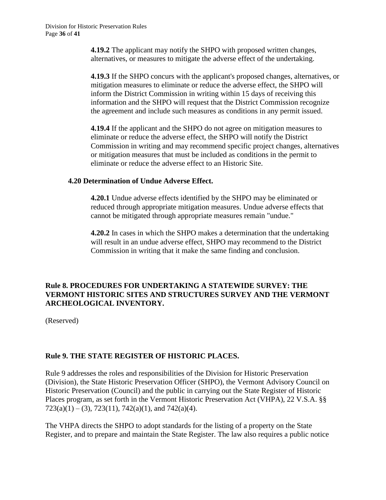**4.19.2** The applicant may notify the SHPO with proposed written changes, alternatives, or measures to mitigate the adverse effect of the undertaking.

**4.19.3** If the SHPO concurs with the applicant's proposed changes, alternatives, or mitigation measures to eliminate or reduce the adverse effect, the SHPO will inform the District Commission in writing within 15 days of receiving this information and the SHPO will request that the District Commission recognize the agreement and include such measures as conditions in any permit issued.

**4.19.4** If the applicant and the SHPO do not agree on mitigation measures to eliminate or reduce the adverse effect, the SHPO will notify the District Commission in writing and may recommend specific project changes, alternatives or mitigation measures that must be included as conditions in the permit to eliminate or reduce the adverse effect to an Historic Site.

#### **4.20 Determination of Undue Adverse Effect.**

**4.20.1** Undue adverse effects identified by the SHPO may be eliminated or reduced through appropriate mitigation measures. Undue adverse effects that cannot be mitigated through appropriate measures remain "undue."

**4.20.2** In cases in which the SHPO makes a determination that the undertaking will result in an undue adverse effect, SHPO may recommend to the District Commission in writing that it make the same finding and conclusion.

## **Rule 8. PROCEDURES FOR UNDERTAKING A STATEWIDE SURVEY: THE VERMONT HISTORIC SITES AND STRUCTURES SURVEY AND THE VERMONT ARCHEOLOGICAL INVENTORY.**

(Reserved)

## **Rule 9. THE STATE REGISTER OF HISTORIC PLACES.**

Rule 9 addresses the roles and responsibilities of the Division for Historic Preservation (Division), the State Historic Preservation Officer (SHPO), the Vermont Advisory Council on Historic Preservation (Council) and the public in carrying out the State Register of Historic Places program, as set forth in the Vermont Historic Preservation Act (VHPA), 22 V.S.A. §§  $723(a)(1) - (3), 723(11), 742(a)(1),$  and  $742(a)(4)$ .

The VHPA directs the SHPO to adopt standards for the listing of a property on the State Register, and to prepare and maintain the State Register. The law also requires a public notice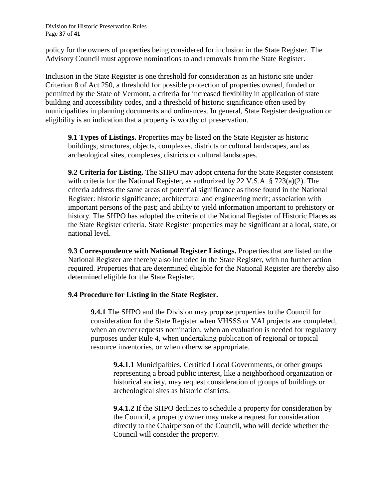Division for Historic Preservation Rules Page **37** of **41**

policy for the owners of properties being considered for inclusion in the State Register. The Advisory Council must approve nominations to and removals from the State Register.

Inclusion in the State Register is one threshold for consideration as an historic site under Criterion 8 of Act 250, a threshold for possible protection of properties owned, funded or permitted by the State of Vermont, a criteria for increased flexibility in application of state building and accessibility codes, and a threshold of historic significance often used by municipalities in planning documents and ordinances. In general, State Register designation or eligibility is an indication that a property is worthy of preservation.

**9.1 Types of Listings.** Properties may be listed on the State Register as historic buildings, structures, objects, complexes, districts or cultural landscapes, and as archeological sites, complexes, districts or cultural landscapes.

**9.2 Criteria for Listing.** The SHPO may adopt criteria for the State Register consistent with criteria for the National Register, as authorized by 22 V.S.A. § 723(a)(2). The criteria address the same areas of potential significance as those found in the National Register: historic significance; architectural and engineering merit; association with important persons of the past; and ability to yield information important to prehistory or history. The SHPO has adopted the criteria of the National Register of Historic Places as the State Register criteria. State Register properties may be significant at a local, state, or national level.

**9.3 Correspondence with National Register Listings.** Properties that are listed on the National Register are thereby also included in the State Register, with no further action required. Properties that are determined eligible for the National Register are thereby also determined eligible for the State Register.

## **9.4 Procedure for Listing in the State Register.**

**9.4.1** The SHPO and the Division may propose properties to the Council for consideration for the State Register when VHSSS or VAI projects are completed, when an owner requests nomination, when an evaluation is needed for regulatory purposes under Rule 4, when undertaking publication of regional or topical resource inventories, or when otherwise appropriate.

**9.4.1.1** Municipalities, Certified Local Governments, or other groups representing a broad public interest, like a neighborhood organization or historical society, may request consideration of groups of buildings or archeological sites as historic districts.

**9.4.1.2** If the SHPO declines to schedule a property for consideration by the Council, a property owner may make a request for consideration directly to the Chairperson of the Council, who will decide whether the Council will consider the property.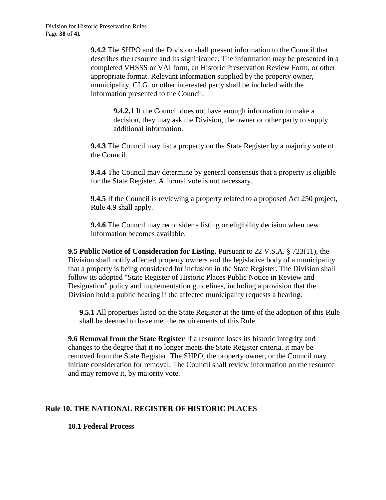**9.4.2** The SHPO and the Division shall present information to the Council that describes the resource and its significance. The information may be presented in a completed VHSSS or VAI form, an Historic Preservation Review Form, or other appropriate format. Relevant information supplied by the property owner, municipality, CLG, or other interested party shall be included with the information presented to the Council.

**9.4.2.1** If the Council does not have enough information to make a decision, they may ask the Division, the owner or other party to supply additional information.

**9.4.3** The Council may list a property on the State Register by a majority vote of the Council.

**9.4.4** The Council may determine by general consensus that a property is eligible for the State Register. A formal vote is not necessary.

**9.4.5** If the Council is reviewing a property related to a proposed Act 250 project, Rule 4.9 shall apply.

**9.4.6** The Council may reconsider a listing or eligibility decision when new information becomes available.

**9.5 Public Notice of Consideration for Listing.** Pursuant to 22 V.S.A. § 723(11), the Division shall notify affected property owners and the legislative body of a municipality that a property is being considered for inclusion in the State Register. The Division shall follow its adopted "State Register of Historic Places Public Notice in Review and Designation" policy and implementation guidelines, including a provision that the Division hold a public hearing if the affected municipality requests a hearing.

**9.5.1** All properties listed on the State Register at the time of the adoption of this Rule shall be deemed to have met the requirements of this Rule.

**9.6 Removal from the State Register** If a resource loses its historic integrity and changes to the degree that it no longer meets the State Register criteria, it may be removed from the State Register. The SHPO, the property owner, or the Council may initiate consideration for removal. The Council shall review information on the resource and may remove it, by majority vote.

## **Rule 10. THE NATIONAL REGISTER OF HISTORIC PLACES**

**10.1 Federal Process**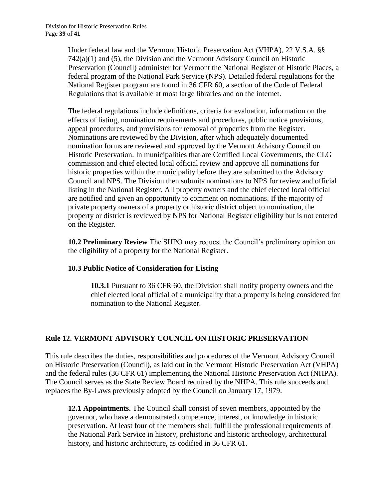Under federal law and the Vermont Historic Preservation Act (VHPA), 22 V.S.A. §§ 742(a)(1) and (5), the Division and the Vermont Advisory Council on Historic Preservation (Council) administer for Vermont the National Register of Historic Places, a federal program of the National Park Service (NPS). Detailed federal regulations for the National Register program are found in 36 CFR 60, a section of the Code of Federal Regulations that is available at most large libraries and on the internet.

The federal regulations include definitions, criteria for evaluation, information on the effects of listing, nomination requirements and procedures, public notice provisions, appeal procedures, and provisions for removal of properties from the Register. Nominations are reviewed by the Division, after which adequately documented nomination forms are reviewed and approved by the Vermont Advisory Council on Historic Preservation. In municipalities that are Certified Local Governments, the CLG commission and chief elected local official review and approve all nominations for historic properties within the municipality before they are submitted to the Advisory Council and NPS. The Division then submits nominations to NPS for review and official listing in the National Register. All property owners and the chief elected local official are notified and given an opportunity to comment on nominations. If the majority of private property owners of a property or historic district object to nomination, the property or district is reviewed by NPS for National Register eligibility but is not entered on the Register.

**10.2 Preliminary Review** The SHPO may request the Council's preliminary opinion on the eligibility of a property for the National Register.

## **10.3 Public Notice of Consideration for Listing**

**10.3.1** Pursuant to 36 CFR 60, the Division shall notify property owners and the chief elected local official of a municipality that a property is being considered for nomination to the National Register.

# **Rule 12. VERMONT ADVISORY COUNCIL ON HISTORIC PRESERVATION**

This rule describes the duties, responsibilities and procedures of the Vermont Advisory Council on Historic Preservation (Council), as laid out in the Vermont Historic Preservation Act (VHPA) and the federal rules (36 CFR 61) implementing the National Historic Preservation Act (NHPA). The Council serves as the State Review Board required by the NHPA. This rule succeeds and replaces the By-Laws previously adopted by the Council on January 17, 1979.

**12.1 Appointments.** The Council shall consist of seven members, appointed by the governor, who have a demonstrated competence, interest, or knowledge in historic preservation. At least four of the members shall fulfill the professional requirements of the National Park Service in history, prehistoric and historic archeology, architectural history, and historic architecture, as codified in 36 CFR 61.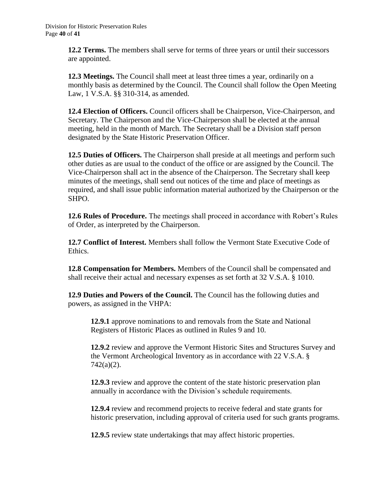**12.2 Terms.** The members shall serve for terms of three years or until their successors are appointed.

**12.3 Meetings.** The Council shall meet at least three times a year, ordinarily on a monthly basis as determined by the Council. The Council shall follow the Open Meeting Law, 1 V.S.A. §§ 310-314, as amended.

**12.4 Election of Officers.** Council officers shall be Chairperson, Vice-Chairperson, and Secretary. The Chairperson and the Vice-Chairperson shall be elected at the annual meeting, held in the month of March. The Secretary shall be a Division staff person designated by the State Historic Preservation Officer.

**12.5 Duties of Officers.** The Chairperson shall preside at all meetings and perform such other duties as are usual to the conduct of the office or are assigned by the Council. The Vice-Chairperson shall act in the absence of the Chairperson. The Secretary shall keep minutes of the meetings, shall send out notices of the time and place of meetings as required, and shall issue public information material authorized by the Chairperson or the SHPO.

**12.6 Rules of Procedure.** The meetings shall proceed in accordance with Robert's Rules of Order, as interpreted by the Chairperson.

**12.7 Conflict of Interest.** Members shall follow the Vermont State Executive Code of Ethics.

**12.8 Compensation for Members.** Members of the Council shall be compensated and shall receive their actual and necessary expenses as set forth at 32 V.S.A. § 1010.

**12.9 Duties and Powers of the Council.** The Council has the following duties and powers, as assigned in the VHPA:

**12.9.1** approve nominations to and removals from the State and National Registers of Historic Places as outlined in Rules 9 and 10.

**12.9.2** review and approve the Vermont Historic Sites and Structures Survey and the Vermont Archeological Inventory as in accordance with 22 V.S.A. § 742(a)(2).

**12.9.3** review and approve the content of the state historic preservation plan annually in accordance with the Division's schedule requirements.

**12.9.4** review and recommend projects to receive federal and state grants for historic preservation, including approval of criteria used for such grants programs.

**12.9.5** review state undertakings that may affect historic properties.